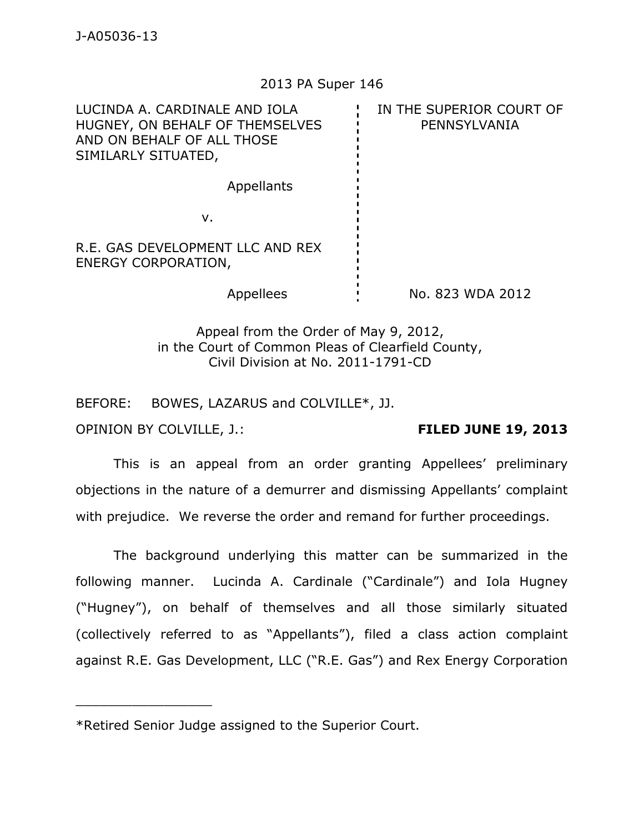## 2013 PA Super 146

| LUCINDA A. CARDINALE AND IOLA<br>HUGNEY, ON BEHALF OF THEMSELVES<br>AND ON BEHALF OF ALL THOSE<br>SIMILARLY SITUATED, |  | IN THE SUPERIOR COURT OF<br>PENNSYLVANIA |
|-----------------------------------------------------------------------------------------------------------------------|--|------------------------------------------|
| Appellants                                                                                                            |  |                                          |
| ν.                                                                                                                    |  |                                          |
| R.E. GAS DEVELOPMENT LLC AND REX<br><b>ENERGY CORPORATION,</b>                                                        |  |                                          |
| Appellees                                                                                                             |  | No. 823 WDA 2012                         |
|                                                                                                                       |  |                                          |

Appeal from the Order of May 9, 2012, in the Court of Common Pleas of Clearfield County, Civil Division at No. 2011-1791-CD

BEFORE: BOWES, LAZARUS and COLVILLE\*, JJ.

OPINION BY COLVILLE, J.: **FILED JUNE 19, 2013** 

\_\_\_\_\_\_\_\_\_\_\_\_\_\_\_\_\_

 This is an appeal from an order granting Appellees' preliminary objections in the nature of a demurrer and dismissing Appellants' complaint with prejudice. We reverse the order and remand for further proceedings.

 The background underlying this matter can be summarized in the following manner. Lucinda A. Cardinale ("Cardinale") and Iola Hugney ("Hugney"), on behalf of themselves and all those similarly situated (collectively referred to as "Appellants"), filed a class action complaint against R.E. Gas Development, LLC ("R.E. Gas") and Rex Energy Corporation

<sup>\*</sup>Retired Senior Judge assigned to the Superior Court.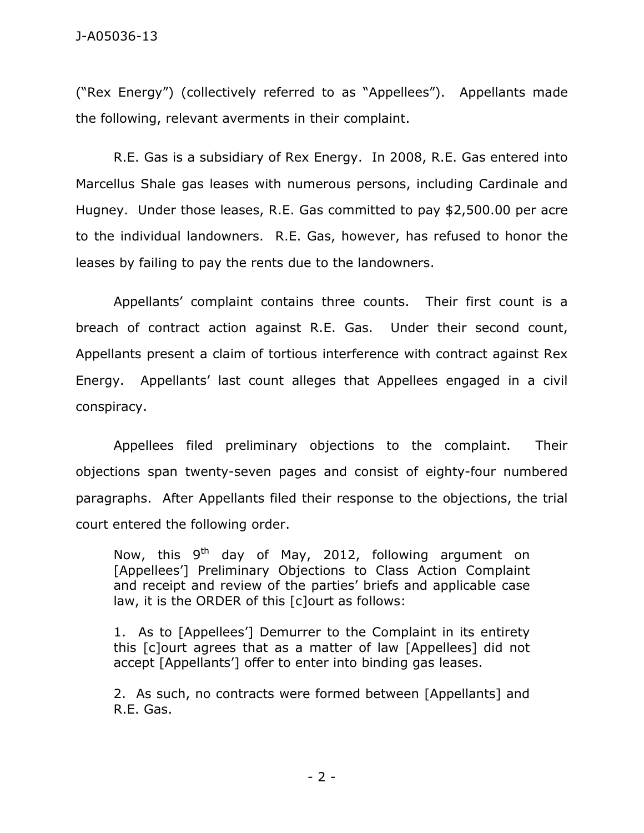("Rex Energy") (collectively referred to as "Appellees"). Appellants made the following, relevant averments in their complaint.

 R.E. Gas is a subsidiary of Rex Energy. In 2008, R.E. Gas entered into Marcellus Shale gas leases with numerous persons, including Cardinale and Hugney. Under those leases, R.E. Gas committed to pay \$2,500.00 per acre to the individual landowners. R.E. Gas, however, has refused to honor the leases by failing to pay the rents due to the landowners.

 Appellants' complaint contains three counts. Their first count is a breach of contract action against R.E. Gas. Under their second count, Appellants present a claim of tortious interference with contract against Rex Energy. Appellants' last count alleges that Appellees engaged in a civil conspiracy.

 Appellees filed preliminary objections to the complaint. Their objections span twenty-seven pages and consist of eighty-four numbered paragraphs. After Appellants filed their response to the objections, the trial court entered the following order.

Now, this  $9<sup>th</sup>$  day of May, 2012, following argument on [Appellees'] Preliminary Objections to Class Action Complaint and receipt and review of the parties' briefs and applicable case law, it is the ORDER of this [c]ourt as follows:

1. As to [Appellees'] Demurrer to the Complaint in its entirety this [c]ourt agrees that as a matter of law [Appellees] did not accept [Appellants'] offer to enter into binding gas leases.

2. As such, no contracts were formed between [Appellants] and R.E. Gas.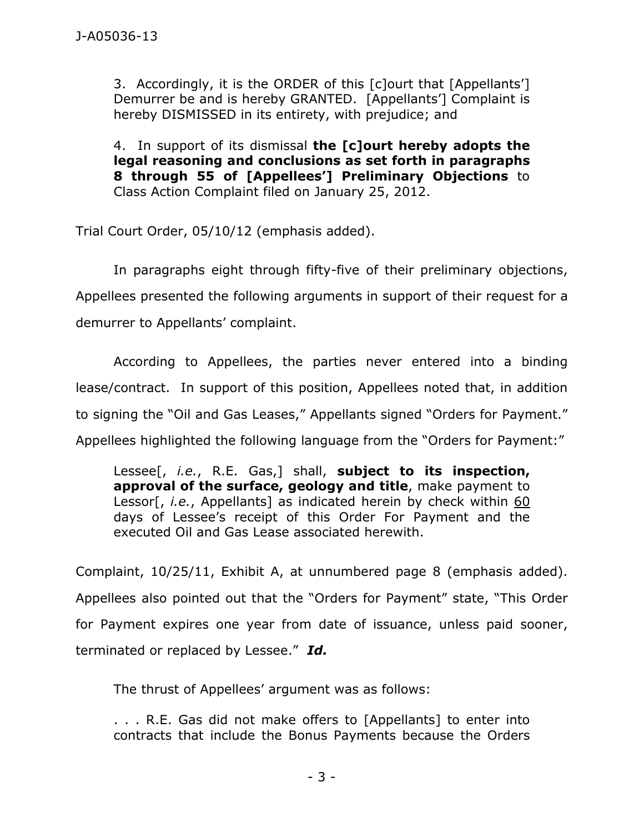3. Accordingly, it is the ORDER of this [c]ourt that [Appellants'] Demurrer be and is hereby GRANTED. [Appellants'] Complaint is hereby DISMISSED in its entirety, with prejudice; and

4. In support of its dismissal **the [c]ourt hereby adopts the legal reasoning and conclusions as set forth in paragraphs 8 through 55 of [Appellees'] Preliminary Objections** to Class Action Complaint filed on January 25, 2012.

Trial Court Order, 05/10/12 (emphasis added).

 In paragraphs eight through fifty-five of their preliminary objections, Appellees presented the following arguments in support of their request for a demurrer to Appellants' complaint.

 According to Appellees, the parties never entered into a binding lease/contract. In support of this position, Appellees noted that, in addition to signing the "Oil and Gas Leases," Appellants signed "Orders for Payment." Appellees highlighted the following language from the "Orders for Payment:"

Lessee[, *i.e.*, R.E. Gas,] shall, **subject to its inspection, approval of the surface, geology and title**, make payment to Lessor[, *i.e.*, Appellants] as indicated herein by check within 60 days of Lessee's receipt of this Order For Payment and the executed Oil and Gas Lease associated herewith.

Complaint, 10/25/11, Exhibit A, at unnumbered page 8 (emphasis added). Appellees also pointed out that the "Orders for Payment" state, "This Order for Payment expires one year from date of issuance, unless paid sooner, terminated or replaced by Lessee." *Id.*

The thrust of Appellees' argument was as follows:

. . . R.E. Gas did not make offers to [Appellants] to enter into contracts that include the Bonus Payments because the Orders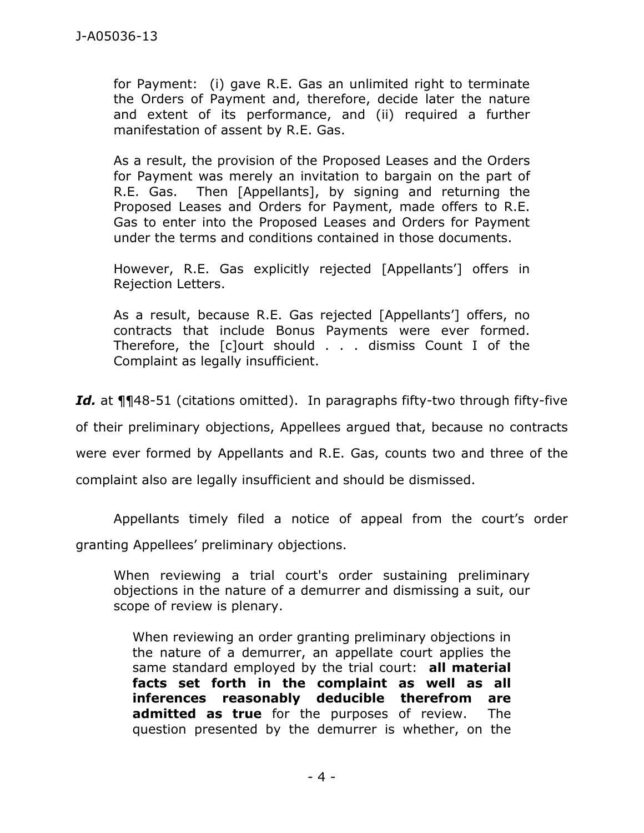for Payment: (i) gave R.E. Gas an unlimited right to terminate the Orders of Payment and, therefore, decide later the nature and extent of its performance, and (ii) required a further manifestation of assent by R.E. Gas.

As a result, the provision of the Proposed Leases and the Orders for Payment was merely an invitation to bargain on the part of R.E. Gas. Then [Appellants], by signing and returning the Proposed Leases and Orders for Payment, made offers to R.E. Gas to enter into the Proposed Leases and Orders for Payment under the terms and conditions contained in those documents.

However, R.E. Gas explicitly rejected [Appellants'] offers in Rejection Letters.

As a result, because R.E. Gas rejected [Appellants'] offers, no contracts that include Bonus Payments were ever formed. Therefore, the [c]ourt should . . . dismiss Count I of the Complaint as legally insufficient.

*Id.* at ¶¶48-51 (citations omitted). In paragraphs fifty-two through fifty-five of their preliminary objections, Appellees argued that, because no contracts were ever formed by Appellants and R.E. Gas, counts two and three of the complaint also are legally insufficient and should be dismissed.

 Appellants timely filed a notice of appeal from the court's order granting Appellees' preliminary objections.

When reviewing a trial court's order sustaining preliminary objections in the nature of a demurrer and dismissing a suit, our scope of review is plenary.

When reviewing an order granting preliminary objections in the nature of a demurrer, an appellate court applies the same standard employed by the trial court: **all material facts set forth in the complaint as well as all inferences reasonably deducible therefrom are admitted as true** for the purposes of review. The question presented by the demurrer is whether, on the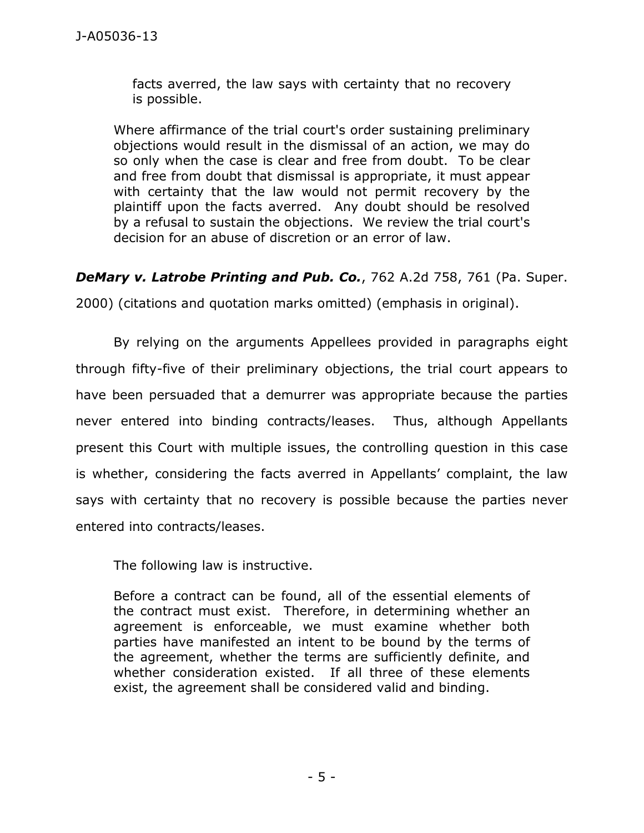facts averred, the law says with certainty that no recovery is possible.

Where affirmance of the trial court's order sustaining preliminary objections would result in the dismissal of an action, we may do so only when the case is clear and free from doubt. To be clear and free from doubt that dismissal is appropriate, it must appear with certainty that the law would not permit recovery by the plaintiff upon the facts averred. Any doubt should be resolved by a refusal to sustain the objections. We review the trial court's decision for an abuse of discretion or an error of law.

*DeMary v. Latrobe Printing and Pub. Co.*, 762 A.2d 758, 761 (Pa. Super.

2000) (citations and quotation marks omitted) (emphasis in original).

 By relying on the arguments Appellees provided in paragraphs eight through fifty-five of their preliminary objections, the trial court appears to have been persuaded that a demurrer was appropriate because the parties never entered into binding contracts/leases. Thus, although Appellants present this Court with multiple issues, the controlling question in this case is whether, considering the facts averred in Appellants' complaint, the law says with certainty that no recovery is possible because the parties never entered into contracts/leases.

The following law is instructive.

Before a contract can be found, all of the essential elements of the contract must exist. Therefore, in determining whether an agreement is enforceable, we must examine whether both parties have manifested an intent to be bound by the terms of the agreement, whether the terms are sufficiently definite, and whether consideration existed. If all three of these elements exist, the agreement shall be considered valid and binding.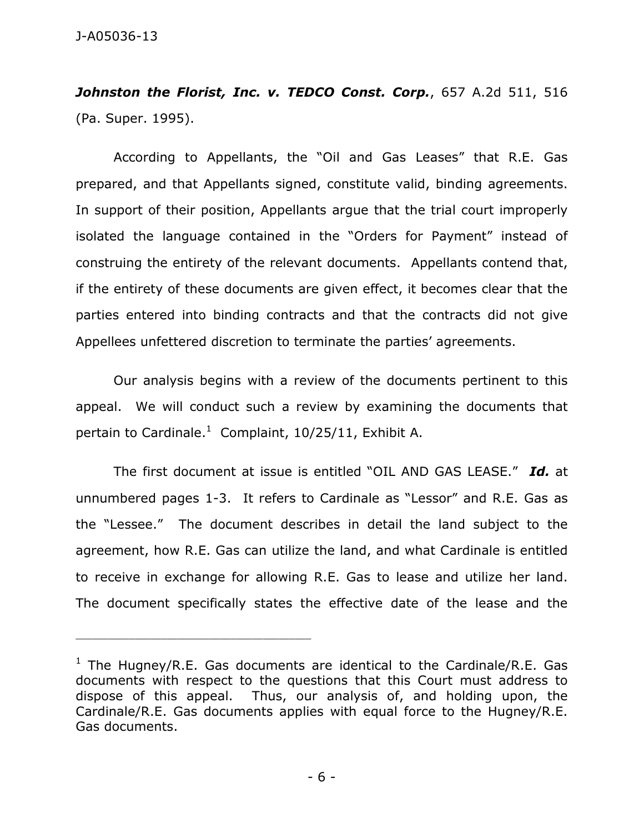*Johnston the Florist, Inc. v. TEDCO Const. Corp.*, 657 A.2d 511, 516 (Pa. Super. 1995).

 According to Appellants, the "Oil and Gas Leases" that R.E. Gas prepared, and that Appellants signed, constitute valid, binding agreements. In support of their position, Appellants argue that the trial court improperly isolated the language contained in the "Orders for Payment" instead of construing the entirety of the relevant documents. Appellants contend that, if the entirety of these documents are given effect, it becomes clear that the parties entered into binding contracts and that the contracts did not give Appellees unfettered discretion to terminate the parties' agreements.

 Our analysis begins with a review of the documents pertinent to this appeal. We will conduct such a review by examining the documents that pertain to Cardinale.<sup>1</sup> Complaint, 10/25/11, Exhibit A.

 The first document at issue is entitled "OIL AND GAS LEASE." *Id.* at unnumbered pages 1-3. It refers to Cardinale as "Lessor" and R.E. Gas as the "Lessee." The document describes in detail the land subject to the agreement, how R.E. Gas can utilize the land, and what Cardinale is entitled to receive in exchange for allowing R.E. Gas to lease and utilize her land. The document specifically states the effective date of the lease and the

\_\_\_\_\_\_\_\_\_\_\_\_\_\_\_\_\_\_\_\_\_\_\_\_\_\_\_\_\_\_\_\_\_\_\_\_\_\_\_\_\_\_\_\_

<sup>&</sup>lt;sup>1</sup> The Hugney/R.E. Gas documents are identical to the Cardinale/R.E. Gas documents with respect to the questions that this Court must address to dispose of this appeal. Thus, our analysis of, and holding upon, the Cardinale/R.E. Gas documents applies with equal force to the Hugney/R.E. Gas documents.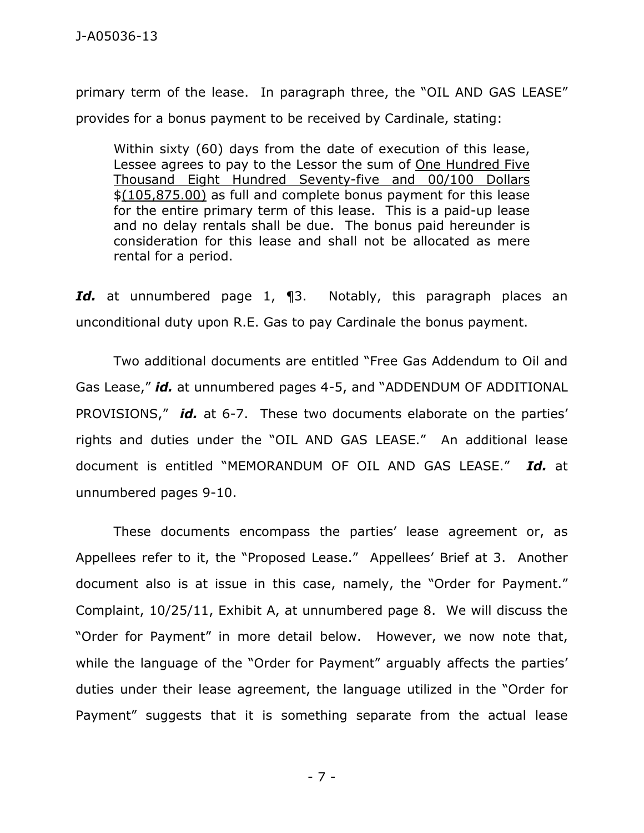primary term of the lease. In paragraph three, the "OIL AND GAS LEASE" provides for a bonus payment to be received by Cardinale, stating:

Within sixty (60) days from the date of execution of this lease, Lessee agrees to pay to the Lessor the sum of One Hundred Five Thousand Eight Hundred Seventy-five and 00/100 Dollars \$(105,875.00) as full and complete bonus payment for this lease for the entire primary term of this lease. This is a paid-up lease and no delay rentals shall be due. The bonus paid hereunder is consideration for this lease and shall not be allocated as mere rental for a period.

*Id.* at unnumbered page 1, ¶3. Notably, this paragraph places an unconditional duty upon R.E. Gas to pay Cardinale the bonus payment.

 Two additional documents are entitled "Free Gas Addendum to Oil and Gas Lease," *id.* at unnumbered pages 4-5, and "ADDENDUM OF ADDITIONAL PROVISIONS," *id.* at 6-7. These two documents elaborate on the parties' rights and duties under the "OIL AND GAS LEASE." An additional lease document is entitled "MEMORANDUM OF OIL AND GAS LEASE." *Id.* at unnumbered pages 9-10.

 These documents encompass the parties' lease agreement or, as Appellees refer to it, the "Proposed Lease." Appellees' Brief at 3. Another document also is at issue in this case, namely, the "Order for Payment." Complaint, 10/25/11, Exhibit A, at unnumbered page 8. We will discuss the "Order for Payment" in more detail below. However, we now note that, while the language of the "Order for Payment" arguably affects the parties' duties under their lease agreement, the language utilized in the "Order for Payment" suggests that it is something separate from the actual lease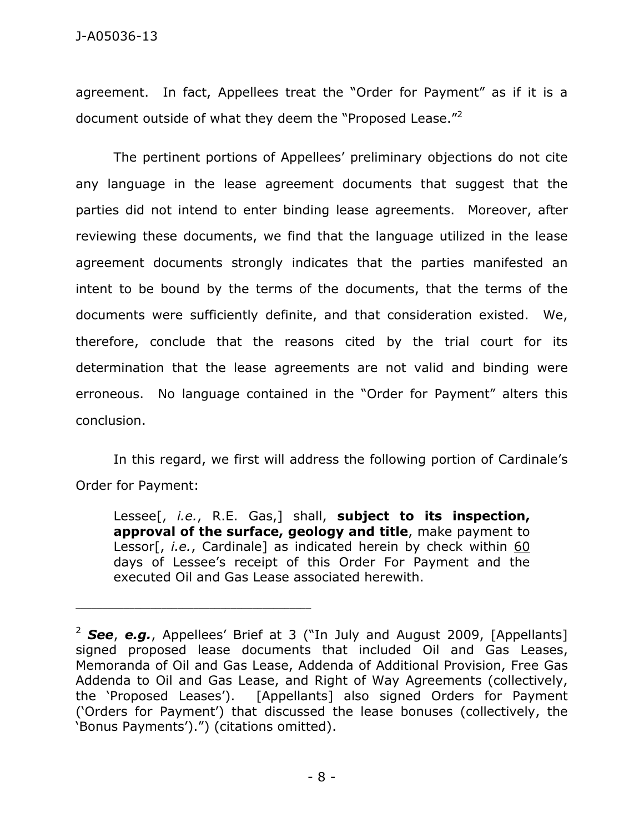agreement. In fact, Appellees treat the "Order for Payment" as if it is a document outside of what they deem the "Proposed Lease."<sup>2</sup>

 The pertinent portions of Appellees' preliminary objections do not cite any language in the lease agreement documents that suggest that the parties did not intend to enter binding lease agreements. Moreover, after reviewing these documents, we find that the language utilized in the lease agreement documents strongly indicates that the parties manifested an intent to be bound by the terms of the documents, that the terms of the documents were sufficiently definite, and that consideration existed. We, therefore, conclude that the reasons cited by the trial court for its determination that the lease agreements are not valid and binding were erroneous. No language contained in the "Order for Payment" alters this conclusion.

 In this regard, we first will address the following portion of Cardinale's Order for Payment:

Lessee[, *i.e.*, R.E. Gas,] shall, **subject to its inspection, approval of the surface, geology and title**, make payment to Lessor[, *i.e.*, Cardinale] as indicated herein by check within 60 days of Lessee's receipt of this Order For Payment and the executed Oil and Gas Lease associated herewith.

\_\_\_\_\_\_\_\_\_\_\_\_\_\_\_\_\_\_\_\_\_\_\_\_\_\_\_\_\_\_\_\_\_\_\_\_\_\_\_\_\_\_\_\_

<sup>&</sup>lt;sup>2</sup> See, e.g., Appellees' Brief at 3 ("In July and August 2009, [Appellants] signed proposed lease documents that included Oil and Gas Leases, Memoranda of Oil and Gas Lease, Addenda of Additional Provision, Free Gas Addenda to Oil and Gas Lease, and Right of Way Agreements (collectively, the 'Proposed Leases'). [Appellants] also signed Orders for Payment ('Orders for Payment') that discussed the lease bonuses (collectively, the 'Bonus Payments').") (citations omitted).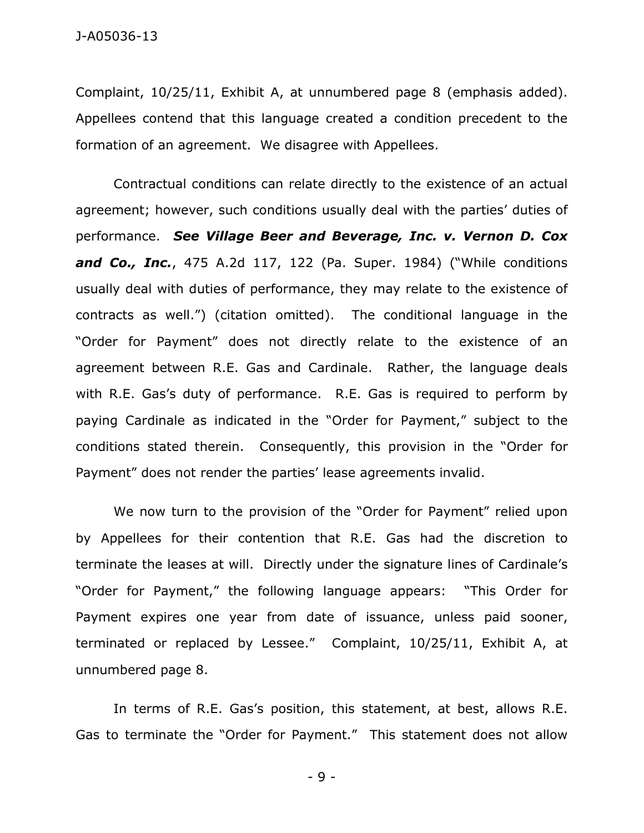Complaint, 10/25/11, Exhibit A, at unnumbered page 8 (emphasis added). Appellees contend that this language created a condition precedent to the formation of an agreement. We disagree with Appellees.

 Contractual conditions can relate directly to the existence of an actual agreement; however, such conditions usually deal with the parties' duties of performance. *See Village Beer and Beverage, Inc. v. Vernon D. Cox and Co., Inc.*, 475 A.2d 117, 122 (Pa. Super. 1984) ("While conditions usually deal with duties of performance, they may relate to the existence of contracts as well.") (citation omitted). The conditional language in the "Order for Payment" does not directly relate to the existence of an agreement between R.E. Gas and Cardinale. Rather, the language deals with R.E. Gas's duty of performance. R.E. Gas is required to perform by paying Cardinale as indicated in the "Order for Payment," subject to the conditions stated therein. Consequently, this provision in the "Order for Payment" does not render the parties' lease agreements invalid.

 We now turn to the provision of the "Order for Payment" relied upon by Appellees for their contention that R.E. Gas had the discretion to terminate the leases at will. Directly under the signature lines of Cardinale's "Order for Payment," the following language appears: "This Order for Payment expires one year from date of issuance, unless paid sooner, terminated or replaced by Lessee." Complaint, 10/25/11, Exhibit A, at unnumbered page 8.

 In terms of R.E. Gas's position, this statement, at best, allows R.E. Gas to terminate the "Order for Payment." This statement does not allow

- 9 -